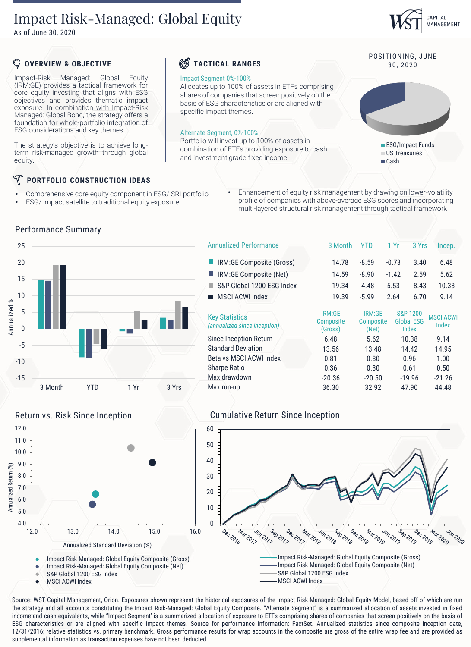# Impact Risk-Managed: Global Equity

As of June 30, 2020

# CAPITAL MANAGEMENT

POSITIONING, JUNE

ESG/Impact Funds US Treasuries ■ Cash

## **OVERVIEW & OBJECTIVE**

Impact-Risk Managed: Global Equity (IRM:GE) provides a tactical framework for core equity investing that aligns with ESG objectives and provides thematic impact exposure. In combination with Impact-Risk Managed: Global Bond, the strategy offers a foundation for whole-portfolio integration of ESG considerations and key themes.

The strategy's objective is to achieve longterm risk-managed growth through global equity.

## **PORTFOLIO CONSTRUCTION IDEAS**

- Comprehensive core equity component in ESG/ SRI portfolio
- ESG/ impact satellite to traditional equity exposure
- Enhancement of equity risk management by drawing on lower-volatility profile of companies with above-average ESG scores and incorporating multi-layered structural risk management through tactical framework

**TACTICAL RANGES** 30, 2020

Impact Segment 0%-100%

specific impact themes.

Alternate Segment, 0%-100%

Allocates up to 100% of assets in ETFs comprising shares of companies that screen positively on the basis of ESG characteristics or are aligned with

Portfolio will invest up to 100% of assets in combination of ETFs providing exposure to cash

and investment grade fixed income.



#### Performance Summary

| <b>Annualized Performance</b>                         | 3 Month                        | YTD                          | 1 Yr    | 3 Yrs                                  | Incep.                    |
|-------------------------------------------------------|--------------------------------|------------------------------|---------|----------------------------------------|---------------------------|
| IRM:GE Composite (Gross)                              | 14.78                          | $-8.59$                      | $-0.73$ | 3.40                                   | 6.48                      |
| IRM:GE Composite (Net)                                | 14.59                          | $-8.90$                      | $-1.42$ | 2.59                                   | 5.62                      |
| S&P Global 1200 ESG Index                             | 19.34                          | $-4.48$                      | 5.53    | 8.43                                   | 10.38                     |
| <b>MSCI ACWI Index</b>                                | 19.39                          | $-5.99$                      | 2.64    | 6.70                                   | 9.14                      |
| <b>Key Statistics</b><br>(annualized since inception) | IRM:GE<br>Composite<br>(Gross) | IRM:GE<br>Composite<br>(Net) |         | S&P 1200<br><b>Global ESG</b><br>Index | <b>MSCI ACWI</b><br>Index |
| Since Inception Return                                | 6.48                           | 5.62                         |         | 10.38                                  | 9.14                      |
| <b>Standard Deviation</b>                             | 13.56                          | 13.48                        |         | 14.42                                  | 14.95                     |
| Beta vs MSCI ACWI Index                               | 0.81                           | 0.80                         |         | 0.96                                   | 1.00                      |
| <b>Sharpe Ratio</b>                                   | 0.36                           | 0.30                         |         | 0.61                                   | 0.50                      |
| Max drawdown                                          | $-20.36$                       | $-20.50$                     |         | $-19.96$                               | $-21.26$                  |
| Max run-up                                            | 36.30                          | 32.92                        |         | 47.90                                  | 44.48                     |
|                                                       |                                |                              |         |                                        |                           |



### Return vs. Risk Since Inception Cumulative Return Since Inception



Source: WST Capital Management, Orion. Exposures shown represent the historical exposures of the Impact Risk-Managed: Global Equity Model, based off of which are run the strategy and all accounts constituting the Impact Risk-Managed: Global Equity Composite. "Alternate Segment" is a summarized allocation of assets invested in fixed income and cash equivalents, while "Impact Segment' is a summarized allocation of exposure to ETFs comprising shares of companies that screen positively on the basis of ESG characteristics or are aligned with specific impact themes. Source for performance information: FactSet. Annualized statistics since composite inception date, 12/31/2016; relative statistics vs. primary benchmark. Gross performance results for wrap accounts in the composite are gross of the entire wrap fee and are provided as